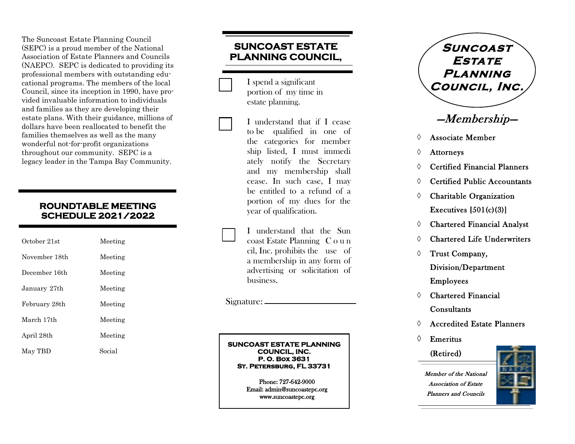The Suncoast Estate Planning Council (SEPC) is a proud member of the National Association of Estate Planners and Councils (NAEPC). SEPC is dedicated to providing its professional members with outstanding educational programs. The members of the local Council, since its inception in 1990, have provided invaluable information to individuals and families as they are developing their estate plans. With their guidance, millions of dollars have been reallocated to benefit the families themselves as well as the many wonderful not -for -profit organizations throughout our community. SEPC is a legacy leader in the Tampa Bay Community.

#### **ROUNDTABLE MEETING SCHEDULE 2021/2022**

| October 21st  | Meeting |
|---------------|---------|
| November 18th | Meeting |
| December 16th | Meeting |
| January 27th  | Meeting |
| February 28th | Meeting |
| March 17th    | Meeting |
| April 28th    | Meeting |
| May TBD       | Social  |

# **SUNCOAST ESTATE PLANNING COUNCIL,**

 I spend a significant portion of my time in estate planning.

I understand that if I cease to be qualified in one of the categories for member ship listed, I must immedi ately notify the Secretary and my membership shall cease. In such case, I may be entitled to a refund of a portion of my dues for the year of qualification.

I understand that the Sun coast Estate Planning C o u n cil, Inc. prohibits the use of a membership in any form of advertising or solicitation of business.

Signature:

#### **SUNCOAST ESTATE PLANNING COUNCIL, INC. P. O. Box 3631 St. Petersburg, FL 33731**

Phone: 727 -642 -9000 Email: admin@suncoastepc.org www.suncoastepc.org

**Suncoast Estate Planning Council, Inc.** 

# —Membership—

- $\Diamond$  Associate Member
- Attorneys
- Certified Financial Planners
- Certified Public Accountants
- Charitable Organization Executives  $[501(c)(3)]$
- Chartered Financial Analyst
- Chartered Life Underwriters
- $\Diamond$  Trust Company,

Division/Department Employees

- Chartered Financial **Consultants**
- Accredited Estate Planners
- $\Diamond$  Emeritus

(Retired )

Member of the National Association of Estate Planners and Councils